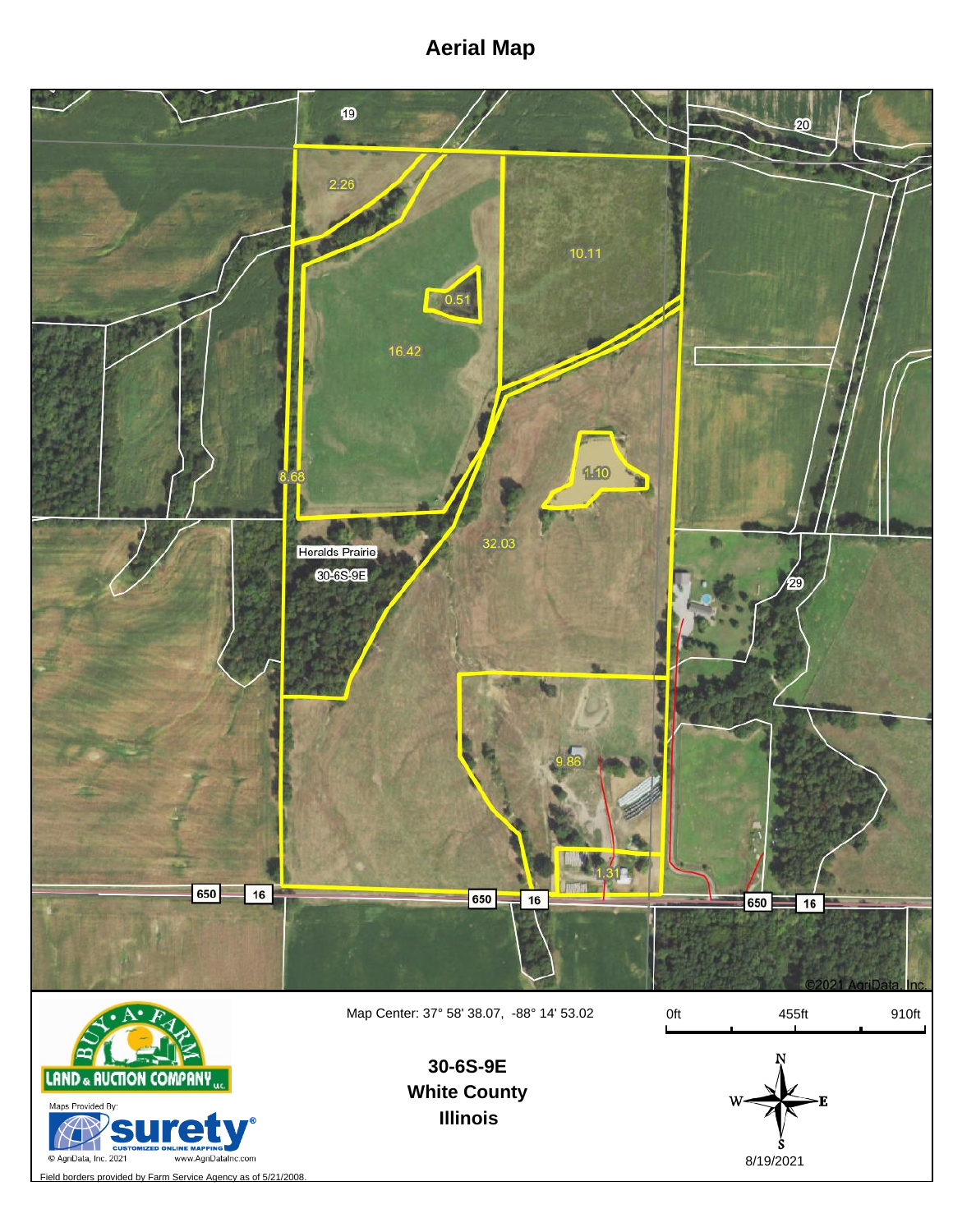## **Aerial Map**



Map Center: 37° 58' 38.07, -88° 14' 53.02

0ft 455ft 910ft



**White County Illinois 30-6S-9E**



Field borders provided by Farm Service Agency as of 5/21/2008.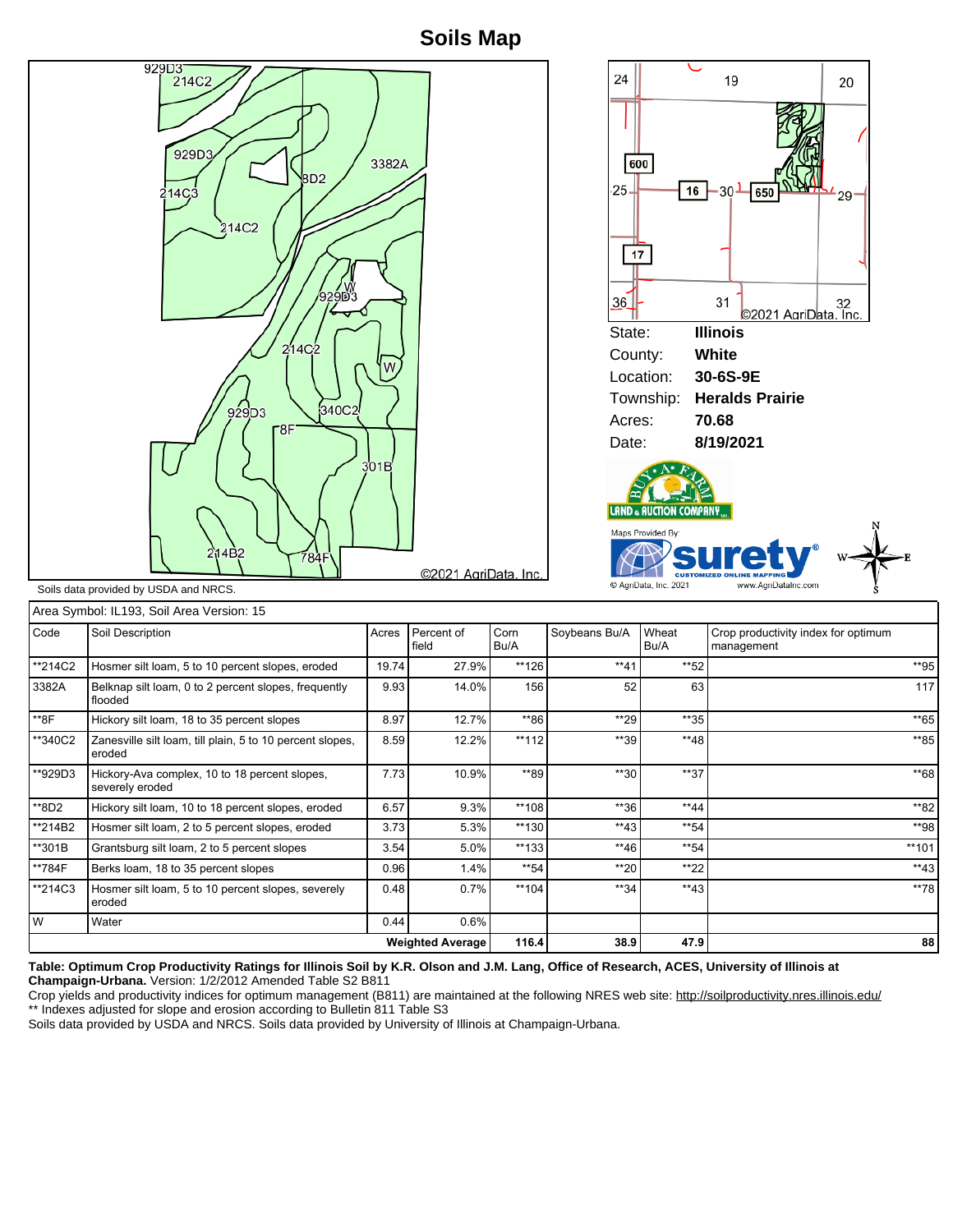## **Soils Map**



| <b>Weighted Average</b> |                                                                     |       |                     | 116.4        | 38.9          | 47.9          | 88                                                |
|-------------------------|---------------------------------------------------------------------|-------|---------------------|--------------|---------------|---------------|---------------------------------------------------|
| W                       | Water                                                               | 0.44  | 0.6%                |              |               |               |                                                   |
| **214C3                 | Hosmer silt loam, 5 to 10 percent slopes, severely<br>eroded        | 0.48  | 0.7%                | **104        | $**34$        | $**43$        | **78                                              |
| **784F                  | Berks loam, 18 to 35 percent slopes                                 | 0.96  | 1.4%                | $*$ 54       | $*$ 20        | $*22$         | $**43$                                            |
| **301B                  | Grantsburg silt loam, 2 to 5 percent slopes                         | 3.54  | $5.0\%$             | $**133$      | $**46$        | $*$ 54        | $**101$                                           |
| **214B2                 | Hosmer silt loam, 2 to 5 percent slopes, eroded                     | 3.73  | 5.3%                | **130        | $*$ *43       | $*$ 54        | **98                                              |
| **8D2                   | Hickory silt loam, 10 to 18 percent slopes, eroded                  | 6.57  | 9.3%                | **108        | **36          | $*44$         | **82                                              |
| **929D3                 | Hickory-Ava complex, 10 to 18 percent slopes,<br>severely eroded    | 7.73  | 10.9%               | **89         | $*30$         | $**37$        | **68                                              |
| **340C2                 | Zanesville silt loam, till plain, 5 to 10 percent slopes,<br>eroded | 8.59  | 12.2%               | $**112$      | **39          | **48          | **85                                              |
| **8F                    | Hickory silt loam, 18 to 35 percent slopes                          | 8.97  | 12.7%               | **86         | **29          | $*35$         | **65                                              |
| 3382A                   | Belknap silt loam, 0 to 2 percent slopes, frequently<br>flooded     | 9.93  | 14.0%               | 156          | 52            | 63            | 117                                               |
| **214C2                 | Hosmer silt loam, 5 to 10 percent slopes, eroded                    | 19.74 | 27.9%               | **126        | $**41$        | $*$ 52        | **95                                              |
| Code                    | Soil Description                                                    | Acres | Percent of<br>field | Corn<br>Bu/A | Soybeans Bu/A | Wheat<br>Bu/A | Crop productivity index for optimum<br>management |
|                         |                                                                     |       |                     |              |               |               |                                                   |

**Table: Optimum Crop Productivity Ratings for Illinois Soil by K.R. Olson and J.M. Lang, Office of Research, ACES, University of Illinois at Champaign-Urbana.** Version: 1/2/2012 Amended Table S2 B811

Crop yields and productivity indices for optimum management (B811) are maintained at the following NRES web site: http://soilproductivity.nres.illinois.edu/ \*\* Indexes adjusted for slope and erosion according to Bulletin 811 Table S3

Soils data provided by USDA and NRCS. Soils data provided by University of Illinois at Champaign-Urbana.